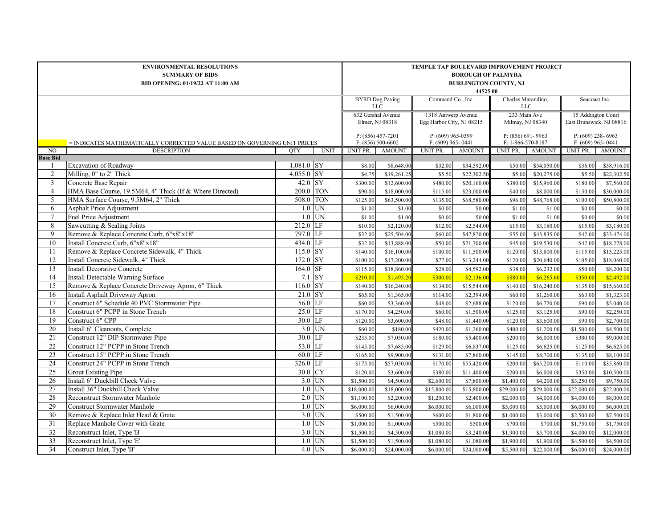| <b>ENVIRONMENTAL RESOLUTIONS</b><br><b>SUMMARY OF BIDS</b><br>BID OPENING: 01/19/22 AT 11:00 AM |                                                                                  |               |                         |                     | TEMPLE TAP BOULEVARD IMPROVEMENT PROJECT<br><b>BOROUGH OF PALMYRA</b><br><b>BURLINGTON COUNTY, NJ</b><br>44525 00 |                                            |                                                  |                           |                                  |                                            |                                                |  |  |  |
|-------------------------------------------------------------------------------------------------|----------------------------------------------------------------------------------|---------------|-------------------------|---------------------|-------------------------------------------------------------------------------------------------------------------|--------------------------------------------|--------------------------------------------------|---------------------------|----------------------------------|--------------------------------------------|------------------------------------------------|--|--|--|
|                                                                                                 |                                                                                  |               |                         |                     | <b>BYRD</b> Dog Paving<br>$_{\rm LLC}$                                                                            |                                            | Command Co., Inc.                                |                           | Charles Marandino,<br><b>LLC</b> |                                            | Seacoast Inc.                                  |  |  |  |
|                                                                                                 |                                                                                  |               |                         |                     | 632 Gershal Avenue<br>Elmer, NJ 08318                                                                             |                                            | 1318 Antwerp Avenue<br>Egg Harbor City, NJ 08215 |                           | 233 Main Ave<br>Milmay, NJ 08340 |                                            | 15 Addington Court<br>East Brunswick, NJ 08816 |  |  |  |
|                                                                                                 | = INDICATES MATHEMATICALLY CORRECTED VALUE BASED ON GOVERNING UNIT PRICES        |               |                         |                     |                                                                                                                   | $P: (609)$ 965-0399<br>$F: (609)$ 965-0441 |                                                  | F: 1-866-570-8187         | $P: (856) 691 - 9963$            | $P: (609)$ 238-6963<br>$F: (609)$ 965-0441 |                                                |  |  |  |
| N <sub>O</sub>                                                                                  | <b>DESCRIPTION</b>                                                               | <b>OTY</b>    | <b>UNIT</b>             | UNIT PR.            | AMOUNT                                                                                                            | <b>UNIT PR.</b>                            | <b>AMOUNT</b>                                    | UNIT PR.<br><b>AMOUNT</b> |                                  | UNIT PR.                                   | <b>AMOUNT</b>                                  |  |  |  |
| <b>Base Bid</b>                                                                                 |                                                                                  |               |                         |                     |                                                                                                                   |                                            |                                                  |                           |                                  |                                            |                                                |  |  |  |
|                                                                                                 | <b>Excavation of Roadway</b>                                                     | $1,081.0$ SY  |                         | \$8.00              | \$8,648.00                                                                                                        | \$32.00                                    | \$34,592.00                                      | \$50.00                   | \$54,050.00                      | \$36.00                                    | \$38,916.00                                    |  |  |  |
| 2<br>$\overline{3}$                                                                             | Milling, 0" to 2" Thick                                                          | $4,055.0$ SY  |                         | \$4.75              | \$19,261.25                                                                                                       | \$5.50                                     | \$22,302.50                                      | \$5.00                    | \$20,275.00                      | \$5.50                                     | \$22,302.50                                    |  |  |  |
|                                                                                                 | Concrete Base Repair<br>HMA Base Course, 19.5M64, 4" Thick (If & Where Directed) | 42.0<br>200.0 | <b>SY</b><br><b>TON</b> | \$300.00            | \$12,600.00                                                                                                       | \$480.00                                   | \$20,160.00                                      | \$380.00                  | \$15,960.00                      | \$180.00                                   | \$7,560.00                                     |  |  |  |
| $\overline{4}$<br>5                                                                             | HMA Surface Course, 9.5M64, 2" Thick                                             | 508.0 TON     |                         | \$90.00<br>\$125.00 | \$18,000.00<br>\$63,500.00                                                                                        | \$115.00<br>\$135.00                       | \$23,000.00<br>\$68,580.00                       | \$40.00<br>\$96.00        | \$8,000.00<br>\$48,768.00        | \$150.00<br>\$100.00                       | \$30,000.00<br>\$50,800.00                     |  |  |  |
| 6                                                                                               | Asphalt Price Adjustment                                                         | 1.0           | UN                      | \$1.00              | \$1.00                                                                                                            | \$0.00                                     | \$0.00                                           | \$1.00                    | \$1.00                           | \$0.00                                     | \$0.00                                         |  |  |  |
| $\tau$                                                                                          | Fuel Price Adjustment                                                            | 1.0           | <b>UN</b>               | \$1.00              | \$1.00                                                                                                            | \$0.00                                     | \$0.00                                           | \$1.00                    | \$1.00                           | \$0.00                                     | \$0.00                                         |  |  |  |
| 8                                                                                               | Sawcutting & Sealing Joints                                                      | 212.0         | LF                      | \$10.00             | \$2,120.00                                                                                                        | \$12.00                                    | \$2,544.00                                       | \$15.00                   | \$3,180.00                       | \$15.00                                    | \$3,180.00                                     |  |  |  |
| 9                                                                                               | Remove & Replace Concrete Curb, 6"x8"x18"                                        | 797.0 LF      |                         | \$32.00             | \$25,504.00                                                                                                       | \$60.00                                    | \$47,820.00                                      | \$55.00                   | \$43,835.00                      | \$42.00                                    | \$33,474.00                                    |  |  |  |
| $10\,$                                                                                          | Install Concrete Curb, 6"x8"x18"                                                 | 434.0 LF      |                         | \$32.00             | \$13,888.00                                                                                                       | \$50.00                                    | \$21,700.00                                      | \$45.00                   | \$19,530.00                      | \$42.00                                    | \$18,228.00                                    |  |  |  |
| 11                                                                                              | Remove & Replace Concrete Sidewalk, 4" Thick                                     | 115.0 SY      |                         | \$140.00            | \$16,100.00                                                                                                       | \$100.00                                   | $\overline{$}11,500.00$                          | \$120.00                  | \$13,800.00                      | \$115.00                                   | \$13,225.00                                    |  |  |  |
| 12                                                                                              | Install Concrete Sidewalk, 4" Thick                                              | 172.0         | SY                      | \$100.00            | \$17,200.00                                                                                                       | \$77.00                                    | \$13,244.00                                      | \$120.00                  | \$20,640.00                      | \$105.00                                   | \$18,060.00                                    |  |  |  |
| 13                                                                                              | <b>Install Decorative Concrete</b>                                               | 164.0         | <b>SF</b>               | \$115.00            | \$18,860.00                                                                                                       | \$28.00                                    | \$4,592.00                                       | \$38.00                   | \$6,232.00                       | \$50.00                                    | \$8,200.00                                     |  |  |  |
| 14                                                                                              | Install Detectable Warning Surface                                               | 7.1           | <b>SY</b>               | \$210.00            | \$1,495.20                                                                                                        | \$300.00                                   | \$2,136.00                                       | \$880.00                  | \$6,265.60                       | \$350.00                                   | \$2,492.00                                     |  |  |  |
| 15                                                                                              | Remove & Replace Concrete Driveway Apron, 6" Thick                               | 116.0 SY      |                         | \$140.00            | \$16,240.00                                                                                                       | \$134.00                                   | \$15,544.00                                      | \$140.00                  | \$16,240.00                      | \$135.00                                   | \$15,660.00                                    |  |  |  |
| 16                                                                                              | Install Asphalt Driveway Apron                                                   | 21.0          | <b>SY</b>               | \$65.00             | \$1,365.00                                                                                                        | \$114.00                                   | \$2,394.00                                       | \$60.00                   | \$1,260.00                       | \$63.00                                    | \$1,323.00                                     |  |  |  |
| 17                                                                                              | Construct 6" Schedule 40 PVC Stormwater Pipe                                     | 56.0          | LF                      | \$60.00             | \$3,360.00                                                                                                        | \$48.00                                    | \$2,688.00                                       | \$120.00                  | \$6,720.00                       | \$90.00                                    | \$5,040.00                                     |  |  |  |
| 18                                                                                              | Construct 6" PCPP in Stone Trench                                                | 25.0          | LF                      | \$170.00            | \$4,250.00                                                                                                        | \$60.00                                    | \$1,500.00                                       | \$125.00                  | \$3,125.00                       | \$90.00                                    | \$2,250.00                                     |  |  |  |
| 19                                                                                              | Construct 6" CPP                                                                 | 30.0          | LF                      | \$120.00            | \$3,600.00                                                                                                        | \$48.00                                    | \$1,440.00                                       | \$120.00                  | \$3,600.00                       | \$90.00                                    | \$2,700.00                                     |  |  |  |
| $\overline{20}$                                                                                 | Install 6" Cleanouts, Complete                                                   | 3.0           | UN                      | \$60.00             | \$180.00                                                                                                          | \$420.00                                   | \$1,260.00                                       | \$400.00                  | \$1,200.00                       | \$1,500.00                                 | \$4,500.00                                     |  |  |  |
| 21                                                                                              | Construct 12" DIP Stormwater Pipe                                                | 30.0          | LF                      | \$235.00            | \$7,050.00                                                                                                        | \$180.00                                   | \$5,400.00                                       | \$200.00                  | \$6,000.00                       | \$300.00                                   | \$9,000.00                                     |  |  |  |
| 22                                                                                              | Construct 12" PCPP in Stone Trench                                               | 53.0          | LF                      | \$145.00            | \$7,685.00                                                                                                        | \$129.00                                   | \$6,837.00                                       | \$125.00                  | \$6,625.00                       | \$125.00                                   | \$6,625.00                                     |  |  |  |
| 23                                                                                              | Construct 15" PCPP in Stone Trench                                               | 60.0          | LF                      | \$165.00            | \$9,900.00                                                                                                        | \$131.00                                   | \$7,860.00                                       | \$145.00                  | \$8,700.00                       | \$135.00                                   | \$8,100.00                                     |  |  |  |
| 24                                                                                              | Construct 24" PCPP in Stone Trench                                               | 326.0         | LF                      | \$175.00            | \$57,050.00                                                                                                       | \$170.00                                   | \$55,420.00                                      | \$200.00                  | \$65,200.00                      | \$110.00                                   | \$35,860.00                                    |  |  |  |
| $\overline{25}$                                                                                 | <b>Grout Existing Pipe</b>                                                       | 30.0          | CY                      | \$120.00            | \$3,600.00                                                                                                        | \$380.00                                   | \$11,400.00                                      | \$200.00                  | \$6,000.00                       | \$350.00                                   | \$10,500.00                                    |  |  |  |
| 26                                                                                              | Install 6" Duckbill Check Valve                                                  | 3.0           | UN                      | \$1,500.00          | \$4,500.00                                                                                                        | \$2,600.00                                 | \$7,800.00                                       | \$1,400.00                | \$4,200.00                       | \$3,250.00                                 | \$9,750.00                                     |  |  |  |
| $\overline{27}$                                                                                 | Install 36" Duckbill Check Valve                                                 | 1.0           | UN                      | \$18,000.00         | \$18,000.00                                                                                                       | \$15,800.00                                | \$15,800.00                                      | \$29,000.00               | \$29,000.00                      | \$22,000.00                                | \$22,000.00                                    |  |  |  |
| 28                                                                                              | Reconstruct Stormwater Manhole                                                   | 2.0           | UN                      | \$1,100.00          | \$2,200.00                                                                                                        | \$1,200.00                                 | \$2,400.00                                       | \$2,000.00                | \$4,000.00                       | \$4,000.00                                 | \$8,000.00                                     |  |  |  |
| 29                                                                                              | Construct Stormwater Manhole                                                     | 1.0           | UN                      | \$6,000.00          | \$6,000.00                                                                                                        | \$6,000.00                                 | \$6,000.00                                       | \$5,000.00                | \$5,000.00                       | \$6,000.00                                 | \$6,000.00                                     |  |  |  |
| 30                                                                                              | Remove & Replace Inlet Head & Grate                                              | 3.0           | UN                      | \$500.00            | \$1,500.00                                                                                                        | \$600.00                                   | \$1,800.00                                       | \$1,000.00                | \$3,000.00                       | \$2,500.00                                 | \$7,500.00                                     |  |  |  |
| 31                                                                                              | Replace Manhole Cover with Grate                                                 | 1.0           | UN                      | \$1,000.00          | \$1,000.00                                                                                                        | \$500.00                                   | \$500.00                                         | \$700.00                  | \$700.00                         | \$1,750.00                                 | \$1,750.00                                     |  |  |  |
| 32                                                                                              | Reconstruct Inlet, Type 'B'                                                      | 3.0           | UN                      | \$1,500.00          | \$4,500.00                                                                                                        | \$1,080.00                                 | \$3,240.00                                       | \$1,900.00                | \$5,700.00                       | \$4,000.00                                 | \$12,000.00                                    |  |  |  |
| $\overline{33}$                                                                                 | Reconstruct Inlet, Type 'E'                                                      | 1.0           | UN                      | \$1,500.00          | \$1,500.00                                                                                                        | \$1,080.00                                 | \$1,080.00                                       | \$1,900.0                 | \$1,900.00                       | \$4,500.00                                 | \$4,500.00                                     |  |  |  |
| $\overline{34}$                                                                                 | Construct Inlet, Type 'B'                                                        | 4.0           | <b>UN</b>               | \$6,000.00          | \$24,000.00                                                                                                       | \$6,000.00                                 | \$24,000.00                                      | \$5,500.00                | \$22,000.00                      | \$6,000.00                                 | \$24,000.00                                    |  |  |  |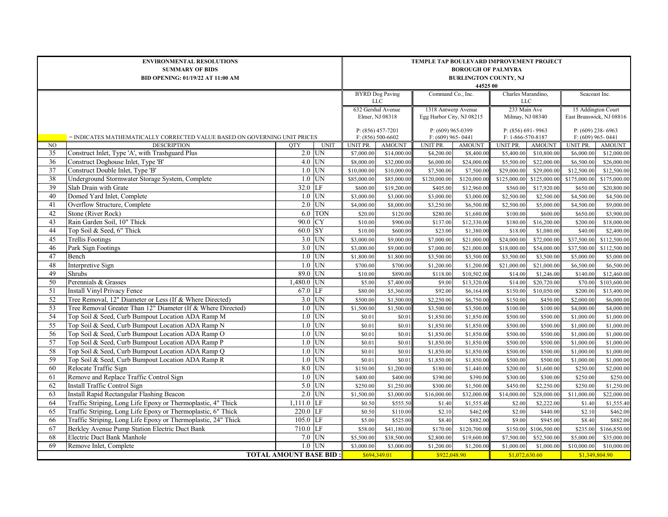|    | <b>ENVIRONMENTAL RESOLUTIONS</b><br><b>SUMMARY OF BIDS</b><br>BID OPENING: 01/19/22 AT 11:00 AM | TEMPLE TAP BOULEVARD IMPROVEMENT PROJECT<br><b>BOROUGH OF PALMYRA</b><br><b>BURLINGTON COUNTY, NJ</b><br>44525 00 |                 |                                            |                                                  |                   |                                            |                                  |                                                |                          |  |
|----|-------------------------------------------------------------------------------------------------|-------------------------------------------------------------------------------------------------------------------|-----------------|--------------------------------------------|--------------------------------------------------|-------------------|--------------------------------------------|----------------------------------|------------------------------------------------|--------------------------|--|
|    |                                                                                                 |                                                                                                                   |                 | <b>BYRD</b> Dog Paving<br><b>LLC</b>       |                                                  | Command Co., Inc. |                                            | Charles Marandino,<br><b>LLC</b> |                                                | Seacoast Inc.            |  |
|    |                                                                                                 |                                                                                                                   |                 | 632 Gershal Avenue<br>Elmer, NJ 08318      | 1318 Antwerp Avenue<br>Egg Harbor City, NJ 08215 |                   | 233 Main Ave<br>Milmay, NJ 08340           |                                  | 15 Addington Court<br>East Brunswick, NJ 08816 |                          |  |
|    | = INDICATES MATHEMATICALLY CORRECTED VALUE BASED ON GOVERNING UNIT PRICES                       |                                                                                                                   |                 | $P: (856)$ 457-7201<br>$F: (856) 500-6602$ | P: (609) 965-0399<br>$F: (609)$ 965-0441         |                   | $P: (856) 691 - 9963$<br>F: 1-866-570-8187 |                                  | $P: (609)$ 238-6963<br>$F: (609)$ 965-0441     |                          |  |
| NO | <b>DESCRIPTION</b>                                                                              | <b>OTY</b><br><b>UNIT</b>                                                                                         | <b>UNIT PR.</b> | <b>AMOUNT</b>                              | UNIT PR.                                         | <b>AMOUNT</b>     | <b>UNIT PR.</b>                            | <b>AMOUNT</b>                    | UNIT PR.                                       | <b>AMOUNT</b>            |  |
| 35 | Construct Inlet, Type 'A', with Trashguard Plus                                                 | $2.0$ UN                                                                                                          | \$7,000.00      | \$14,000.00                                | \$4,200.00                                       | \$8,400.00        | \$5,400.00                                 | \$10,800.00                      | \$6,000.00                                     | \$12,000.00              |  |
| 36 | Construct Doghouse Inlet, Type 'B'                                                              | $4.0$ UN                                                                                                          | \$8,000.00      | \$32,000.00                                | \$6,000.00                                       | \$24,000.00       | \$5,500.00                                 | \$22,000.00                      | \$6,500.00                                     | \$26,000.00              |  |
| 37 | Construct Double Inlet, Type 'B'                                                                | $1.0$ UN                                                                                                          | \$10,000.00     | \$10,000.00                                | \$7,500.00                                       | \$7,500.00        | \$29,000.00                                | \$29,000.00                      | \$12,500.00                                    | \$12,500.00              |  |
| 38 | Underground Stormwater Storage System, Complete                                                 | $1.0$ UN                                                                                                          | \$85,000.00     | \$85,000.00                                | $\overline{$}120,000.00$                         | \$120,000.00      | \$125,000.00                               | \$125,000.0                      | \$175,000.00                                   | \$175,000.00             |  |
| 39 | Slab Drain with Grate                                                                           | 32.0 LF                                                                                                           | \$600.00        | \$19,200.00                                | \$405.00                                         | \$12,960.00       | \$560.00                                   | \$17,920.00                      | \$650.00                                       | \$20,800.00              |  |
| 40 | Domed Yard Inlet, Complete                                                                      | $1.0$ UN                                                                                                          | \$3,000.00      | \$3,000.00                                 | \$3,000.00                                       | \$3,000.00        | \$2,500.00                                 | \$2,500.0                        | \$4,500.00                                     | \$4,500.00               |  |
| 41 | Overflow Structure, Complete                                                                    | 2.0<br>UN                                                                                                         | \$4,000.00      | \$8,000.00                                 | \$3,250.00                                       | \$6,500.00        | \$2,500.00                                 | \$5,000.00                       | \$4,500.00                                     | \$9,000.00               |  |
| 42 | Stone (River Rock)                                                                              | <b>TON</b><br>6.0                                                                                                 | \$20.00         | \$120.00                                   | \$280.00                                         | \$1,680.00        | \$100.00                                   | \$600.00                         | \$650.00                                       | \$3,900.00               |  |
| 43 | Rain Garden Soil, 10" Thick                                                                     | 90.0<br><b>CY</b>                                                                                                 | \$10.00         | \$900.00                                   | \$137.00                                         | \$12,330.00       | \$180.00                                   | \$16,200.00                      | \$200.00                                       | \$18,000.00              |  |
| 44 | Top Soil & Seed, 6" Thick                                                                       | <b>SY</b><br>60.0                                                                                                 | \$10.00         | \$600.00                                   | \$23.00                                          | \$1,380.00        | \$18.00                                    | \$1,080.00                       | \$40.00                                        | \$2,400.00               |  |
| 45 | <b>Trellis Footings</b>                                                                         | $3.0$ UN                                                                                                          | \$3,000.00      | \$9,000.00                                 | \$7,000.00                                       | \$21,000.00       | \$24,000.00                                | \$72,000.00                      | \$37,500.00                                    | \$112,500.00             |  |
| 46 | Park Sign Footings                                                                              | UN<br>3.0                                                                                                         | \$3,000.00      | \$9,000.00                                 | \$7,000.00                                       | \$21,000.00       | \$18,000.00                                | \$54,000.00                      | \$37,500.00                                    | \$112,500.00             |  |
| 47 | Bench                                                                                           | UN<br>1.0                                                                                                         | \$1,800.00      | \$1,800.00                                 | \$3,500.00                                       | \$3,500.00        | \$3,500.00                                 | \$3,500.00                       | \$5,000.00                                     | \$5,000.00               |  |
| 48 | <b>Interpretive Sign</b>                                                                        | $1.0$ UN                                                                                                          | \$700.00        | \$700.00                                   | \$1,200.00                                       | \$1,200.00        | \$21,000.00                                | \$21,000.00                      | \$6,500.00                                     | \$6,500.00               |  |
| 49 | Shrubs                                                                                          | UN<br>89.0                                                                                                        | \$10.00         | \$890.00                                   | \$118.00                                         | \$10,502.00       | \$14.00                                    | \$1,246.00                       | \$140.00                                       | \$12,460.00              |  |
| 50 | Perennials & Grasses                                                                            | $1,480.0$ UN                                                                                                      | \$5.00          | \$7,400.00                                 | \$9.00                                           | \$13,320.00       | \$14.00                                    | \$20,720.00                      | \$70.00                                        | \$103,600.00             |  |
| 51 | Install Vinyl Privacy Fence                                                                     | 67.0 LF                                                                                                           | \$80.00         | \$5,360.00                                 | \$92.00                                          | \$6,164.00        | \$150.00                                   | \$10,050.00                      | \$200.00                                       | \$13,400.00              |  |
| 52 | Tree Removal, 12" Diameter or Less (If & Where Directed)                                        | $3.0$ UN                                                                                                          | \$500.00        | $\overline{\$1,500.00}$                    | \$2,250.00                                       | \$6,750.00        | \$150.00                                   | \$450.00                         | \$2,000.00                                     | \$6,000.00               |  |
| 53 | Tree Removal Greater Than 12" Diameter (If & Where Directed)                                    | $1.0$ UN                                                                                                          | \$1,500.00      | \$1,500.00                                 | \$3,500.00                                       | \$3,500.00        | \$100.00                                   | \$100.00                         | \$4,000.00                                     | \$4,000.00               |  |
| 54 | Top Soil & Seed, Curb Bumpout Location ADA Ramp M                                               | $1.0$ UN                                                                                                          | \$0.01          | \$0.01                                     | \$1,850.00                                       | \$1,850.00        | \$500.00                                   | \$500.00                         | \$1,000.00                                     | \$1,000.00               |  |
| 55 | Top Soil & Seed, Curb Bumpout Location ADA Ramp N                                               | $1.0$ UN                                                                                                          | \$0.01          | \$0.01                                     | \$1,850.00                                       | \$1,850.00        | \$500.00                                   | \$500.00                         | \$1,000.00                                     | \$1,000.00               |  |
| 56 | Top Soil & Seed, Curb Bumpout Location ADA Ramp O                                               | $1.0$ UN                                                                                                          | \$0.01          | \$0.01                                     | \$1,850.00                                       | \$1,850.00        | \$500.00                                   | \$500.00                         | \$1,000.00                                     | \$1,000.00               |  |
| 57 | Top Soil & Seed, Curb Bumpout Location ADA Ramp P                                               | $1.0$ UN                                                                                                          | \$0.01          | \$0.01                                     | \$1,850.00                                       | \$1,850.00        | \$500.00                                   | \$500.00                         | \$1,000.00                                     | \$1,000.00               |  |
| 58 | Top Soil & Seed, Curb Bumpout Location ADA Ramp Q                                               | UN<br>1.0                                                                                                         | \$0.01          | \$0.01                                     | \$1,850.00                                       | \$1,850.00        | \$500.00                                   | \$500.00                         | \$1,000.00                                     | \$1,000.00               |  |
| 59 | Top Soil & Seed, Curb Bumpout Location ADA Ramp R                                               | UN<br>1.0                                                                                                         | \$0.01          | \$0.01                                     | \$1,850.00                                       | \$1,850.00        | \$500.00                                   | \$500.00                         | \$1,000.00                                     | \$1,000.00               |  |
| 60 | Relocate Traffic Sign                                                                           | UN<br>8.0                                                                                                         | \$150.00        | \$1,200.00                                 | \$180.00                                         | \$1,440.00        | \$200.00                                   | \$1,600.00                       | \$250.00                                       | \$2,000.00               |  |
| 61 | Remove and Replace Traffic Control Sign                                                         | $1.0$ UN                                                                                                          | \$400.00        | \$400.00                                   | \$390.00                                         | \$390.00          | \$300.00                                   | \$300.00                         | \$250.00                                       | \$250.00                 |  |
| 62 | <b>Install Traffic Control Sign</b>                                                             | $5.0$ UN                                                                                                          | \$250.00        | \$1,250.00                                 | \$300.00                                         | \$1,500.00        | \$450.00                                   | \$2,250.00                       | \$250.00                                       | \$1,250.00               |  |
| 63 | Install Rapid Rectangular Flashing Beacon                                                       | $2.0$ UN                                                                                                          | \$1,500.00      | \$3,000.00                                 | \$16,000.00                                      | \$32,000.00       | \$14,000.00                                | \$28,000.00                      | \$11,000.00                                    | \$22,000.00              |  |
| 64 | Traffic Striping, Long Life Epoxy or Thermoplastic, 4" Thick                                    | $1,111.0$ LF                                                                                                      | \$0.50          | \$555.50                                   | \$1.40                                           | \$1,555.40        | \$2.00                                     | \$2,222.00                       | \$1.40                                         | \$1,555.40               |  |
| 65 | Traffic Striping, Long Life Epoxy or Thermoplastic, 6" Thick                                    | 220.0 LF                                                                                                          | \$0.50          | \$110.00                                   | \$2.10                                           | \$462.00          | \$2.00                                     | \$440.00                         | \$2.10                                         | \$462.00                 |  |
| 66 | Traffic Striping, Long Life Epoxy or Thermoplastic, 24" Thick                                   | 105.0 LF                                                                                                          | \$5.00          | \$525.00                                   | \$8.40                                           | \$882.00          | \$9.00                                     | \$945.00                         | \$8.40                                         | \$882.00                 |  |
| 67 | Berkley Avenue Pump Station Electric Duct Bank                                                  | 710.0 LF                                                                                                          | \$58.00         | \$41,180.00                                | \$170.00                                         | \$120,700.00      | \$150.00                                   | \$106,500.00                     | \$235.00                                       | $\overline{$}166,850.00$ |  |
| 68 | <b>Electric Duct Bank Manhole</b>                                                               | $7.0$ UN                                                                                                          | \$5,500.00      | \$38,500.00                                | \$2,800.00                                       | \$19,600.00       | \$7,500.00                                 | \$52,500.00                      | \$5,000.00                                     | \$35,000.00              |  |
| 69 | Remove Inlet, Complete                                                                          | $1.0$ UN                                                                                                          | \$3,000.00      | \$3,000.00                                 | \$1,200.00                                       | \$1,200.00        | \$1,000.00                                 | \$1,000.00                       | \$10,000.00                                    | \$10,000.00              |  |
|    | <b>TOTAL AMOUNT BASE BID:</b>                                                                   |                                                                                                                   | \$694,349.01    | \$922,048.90                               |                                                  | \$1,072,630.60    |                                            | \$1,349,804.90                   |                                                |                          |  |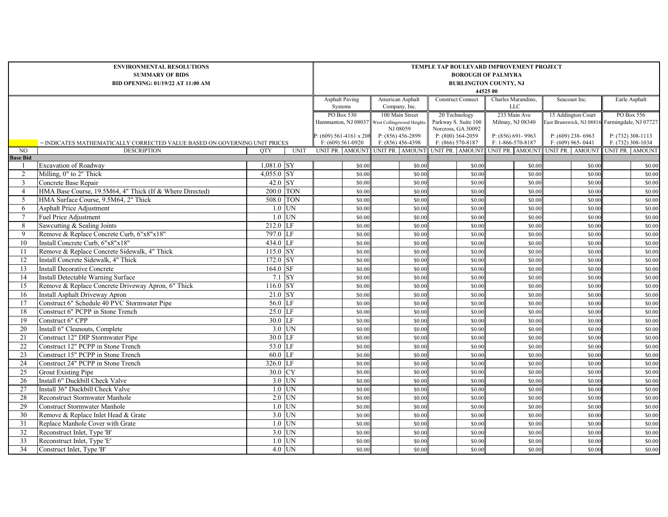| <b>Asphalt Paving</b><br>American Asphalt<br><b>Construct Connect</b><br>Charles Marandino,<br>Systems<br><b>LLC</b><br>Company, Inc.<br>PO Box 530<br>100 Main Street<br>233 Main Ave<br>20 Technology<br>Parkway S. Suite 100<br>Milmay, NJ 08340<br>Hammanton, NJ 08037 West Collingswood Heights<br>NJ 08059<br>Norcross, GA 30092<br>$P: (609) 561-4161 x 208$<br>P: (856) 456-2899<br>$P: (800)$ 364-2059<br>$P: (856) 691 - 9963$<br>$F: (609) 561-0920$<br>$F: (856) 456-4398$<br>$F: (866) 570-8187$<br>F: 1-866-570-8187<br>= INDICATES MATHEMATICALLY CORRECTED VALUE BASED ON GOVERNING UNIT PRICES<br>UNIT PR. AMOUNT UNIT PR. AMOUNT<br>N <sub>O</sub><br><b>DESCRIPTION</b><br><b>UNIT</b><br>UNIT PR. AMOUNT<br><b>OTY</b> |                  | Seacoast Inc.<br>15 Addington Court | Earle Asphalt                                                          |  |
|--------------------------------------------------------------------------------------------------------------------------------------------------------------------------------------------------------------------------------------------------------------------------------------------------------------------------------------------------------------------------------------------------------------------------------------------------------------------------------------------------------------------------------------------------------------------------------------------------------------------------------------------------------------------------------------------------------------------------------------------|------------------|-------------------------------------|------------------------------------------------------------------------|--|
|                                                                                                                                                                                                                                                                                                                                                                                                                                                                                                                                                                                                                                                                                                                                            |                  |                                     |                                                                        |  |
|                                                                                                                                                                                                                                                                                                                                                                                                                                                                                                                                                                                                                                                                                                                                            |                  |                                     | PO Box 556                                                             |  |
|                                                                                                                                                                                                                                                                                                                                                                                                                                                                                                                                                                                                                                                                                                                                            |                  |                                     | East Brunswick, NJ 08816 Farmingdale, NJ 07727                         |  |
| <b>Base Bid</b>                                                                                                                                                                                                                                                                                                                                                                                                                                                                                                                                                                                                                                                                                                                            |                  | P: $(609)$ 238-6963                 | $P: (732)$ 308-1113                                                    |  |
|                                                                                                                                                                                                                                                                                                                                                                                                                                                                                                                                                                                                                                                                                                                                            |                  | $F: (609)$ 965-0441                 | $F: (732)$ 308-1034<br>UNIT PR. AMOUNT UNIT PR. AMOUNT UNIT PR. AMOUNT |  |
|                                                                                                                                                                                                                                                                                                                                                                                                                                                                                                                                                                                                                                                                                                                                            |                  |                                     |                                                                        |  |
| $1,081.0$ SY<br><b>Excavation of Roadway</b><br>\$0.00<br>\$0.00<br>\$0.00<br>- 1                                                                                                                                                                                                                                                                                                                                                                                                                                                                                                                                                                                                                                                          | \$0.00           | \$0.00                              | \$0.00                                                                 |  |
| 2<br>Milling, 0" to 2" Thick<br>4,055.0 $SY$<br>\$0.00<br>\$0.00<br>\$0.00                                                                                                                                                                                                                                                                                                                                                                                                                                                                                                                                                                                                                                                                 | \$0.00           | \$0.00                              | \$0.00                                                                 |  |
| 42.0 SY<br>3<br>Concrete Base Repair<br>\$0.00<br>\$0.00<br>\$0.00                                                                                                                                                                                                                                                                                                                                                                                                                                                                                                                                                                                                                                                                         | \$0.00           | \$0.00                              | \$0.00                                                                 |  |
| 200.0 TON<br>HMA Base Course, 19.5M64, 4" Thick (If & Where Directed)<br>$\overline{4}$<br>\$0.00<br>\$0.00<br>\$0.00                                                                                                                                                                                                                                                                                                                                                                                                                                                                                                                                                                                                                      | \$0.00           | \$0.00                              | \$0.00                                                                 |  |
| HMA Surface Course, 9.5M64, 2" Thick<br>508.0 TON<br>5<br>\$0.00<br>\$0.00<br>\$0.00                                                                                                                                                                                                                                                                                                                                                                                                                                                                                                                                                                                                                                                       | \$0.00           | \$0.00                              | \$0.00                                                                 |  |
| $1.0$ UN<br><b>Asphalt Price Adjustment</b><br>\$0.00<br>\$0.00<br>\$0.00<br>6                                                                                                                                                                                                                                                                                                                                                                                                                                                                                                                                                                                                                                                             | \$0.00           | \$0.00                              | \$0.00                                                                 |  |
| UN<br>$\overline{7}$<br><b>Fuel Price Adjustment</b><br>1.0<br>\$0.00<br>\$0.00<br>\$0.00                                                                                                                                                                                                                                                                                                                                                                                                                                                                                                                                                                                                                                                  | \$0.00           | \$0.00                              | \$0.00                                                                 |  |
| 8<br>Sawcutting & Sealing Joints<br>$212.0$ LF<br>\$0.00<br>\$0.00<br>\$0.00                                                                                                                                                                                                                                                                                                                                                                                                                                                                                                                                                                                                                                                               | \$0.00           | \$0.00                              | \$0.00                                                                 |  |
| 797.0 LF<br>Remove & Replace Concrete Curb, 6"x8"x18"<br>9<br>\$0.00<br>\$0.00<br>\$0.00                                                                                                                                                                                                                                                                                                                                                                                                                                                                                                                                                                                                                                                   | \$0.00           | \$0.00                              | \$0.00                                                                 |  |
| 434.0 LF<br>Install Concrete Curb, 6"x8"x18"<br>10<br>\$0.00<br>\$0.00<br>\$0.00                                                                                                                                                                                                                                                                                                                                                                                                                                                                                                                                                                                                                                                           | \$0.00           | \$0.00                              | \$0.00                                                                 |  |
| $115.0$ SY<br>Remove & Replace Concrete Sidewalk, 4" Thick<br>\$0.00<br>\$0.00<br>-11<br>\$0.00                                                                                                                                                                                                                                                                                                                                                                                                                                                                                                                                                                                                                                            | \$0.00           | \$0.00                              | \$0.00                                                                 |  |
| 172.0 SY<br>Install Concrete Sidewalk, 4" Thick<br>12<br>\$0.00<br>\$0.00<br>\$0.00                                                                                                                                                                                                                                                                                                                                                                                                                                                                                                                                                                                                                                                        | \$0.00           | \$0.00                              | \$0.00                                                                 |  |
| <b>Install Decorative Concrete</b><br>$164.0$ SF<br>13<br>\$0.00<br>\$0.00<br>\$0.00                                                                                                                                                                                                                                                                                                                                                                                                                                                                                                                                                                                                                                                       | \$0.00           | \$0.00                              | \$0.00                                                                 |  |
| $7.1$ SY<br>14<br><b>Install Detectable Warning Surface</b><br>\$0.00<br>\$0.00<br>\$0.00                                                                                                                                                                                                                                                                                                                                                                                                                                                                                                                                                                                                                                                  | \$0.00           | \$0.00                              | \$0.00                                                                 |  |
| <b>SY</b><br>Remove & Replace Concrete Driveway Apron, 6" Thick<br>116.0<br>\$0.00<br>15<br>\$0.00<br>\$0.00                                                                                                                                                                                                                                                                                                                                                                                                                                                                                                                                                                                                                               | \$0.00           | \$0.00                              | \$0.00                                                                 |  |
| 21.0 SY<br><b>Install Asphalt Driveway Apron</b><br>16<br>\$0.00<br>\$0.00<br>\$0.00                                                                                                                                                                                                                                                                                                                                                                                                                                                                                                                                                                                                                                                       | \$0.00           | \$0.00                              | \$0.00                                                                 |  |
| $56.0$ LF<br>Construct 6" Schedule 40 PVC Stormwater Pipe<br>17<br>\$0.00<br>\$0.00<br>\$0.00                                                                                                                                                                                                                                                                                                                                                                                                                                                                                                                                                                                                                                              | \$0.00           | \$0.00                              | \$0.00                                                                 |  |
| Construct 6" PCPP in Stone Trench<br>25.0 LF<br>18<br>\$0.00<br>\$0.00<br>\$0.00                                                                                                                                                                                                                                                                                                                                                                                                                                                                                                                                                                                                                                                           | \$0.00           | \$0.00                              | \$0.00                                                                 |  |
| Construct 6" CPP<br>30.0 LF<br>19<br>\$0.00<br>\$0.00<br>\$0.00                                                                                                                                                                                                                                                                                                                                                                                                                                                                                                                                                                                                                                                                            | \$0.00           | \$0.00                              | \$0.00                                                                 |  |
| $3.0$ UN<br>Install 6" Cleanouts, Complete<br>\$0.00<br>20<br>\$0.00<br>\$0.00<br>Construct 12" DIP Stormwater Pipe                                                                                                                                                                                                                                                                                                                                                                                                                                                                                                                                                                                                                        | \$0.00           | \$0.00                              | \$0.00                                                                 |  |
| 30.0 LF<br>21<br>\$0.00<br>\$0.00<br>\$0.00<br>Construct 12" PCPP in Stone Trench<br>53.0 LF<br>22<br>\$0.00<br>\$0.00<br>\$0.00                                                                                                                                                                                                                                                                                                                                                                                                                                                                                                                                                                                                           | \$0.00<br>\$0.00 | \$0.00<br>\$0.00                    | \$0.00                                                                 |  |
| Construct 15" PCPP in Stone Trench<br>60.0 LF<br>23<br>\$0.00<br>\$0.00<br>\$0.00                                                                                                                                                                                                                                                                                                                                                                                                                                                                                                                                                                                                                                                          | \$0.00           | \$0.00                              | \$0.00<br>\$0.00                                                       |  |
| 326.0 LF<br>24<br>Construct 24" PCPP in Stone Trench<br>\$0.00<br>\$0.00<br>\$0.00                                                                                                                                                                                                                                                                                                                                                                                                                                                                                                                                                                                                                                                         | \$0.00           | \$0.00                              | \$0.00                                                                 |  |
| 30.0 CY<br><b>Grout Existing Pipe</b><br>25<br>\$0.00<br>\$0.00<br>\$0.00                                                                                                                                                                                                                                                                                                                                                                                                                                                                                                                                                                                                                                                                  | \$0.00           | \$0.00                              | \$0.00                                                                 |  |
| Install 6" Duckbill Check Valve<br>$3.0$ UN<br>\$0.00<br>\$0.00<br>26<br>\$0.00                                                                                                                                                                                                                                                                                                                                                                                                                                                                                                                                                                                                                                                            | \$0.00           | \$0.00                              | \$0.00                                                                 |  |
| 27<br>Install 36" Duckbill Check Valve<br>$1.0$ UN<br>\$0.00<br>\$0.00<br>\$0.00                                                                                                                                                                                                                                                                                                                                                                                                                                                                                                                                                                                                                                                           | \$0.00           | \$0.00                              | \$0.00                                                                 |  |
| <b>Reconstruct Stormwater Manhole</b><br>$2.0$ UN<br>28<br>\$0.00<br>\$0.00<br>\$0.00                                                                                                                                                                                                                                                                                                                                                                                                                                                                                                                                                                                                                                                      | \$0.00           | \$0.00                              | \$0.00                                                                 |  |
| $1.0$ UN<br>29<br>\$0.00<br><b>Construct Stormwater Manhole</b><br>\$0.00<br>\$0.00                                                                                                                                                                                                                                                                                                                                                                                                                                                                                                                                                                                                                                                        | \$0.00           | \$0.00                              | \$0.00                                                                 |  |
| Remove & Replace Inlet Head & Grate<br>$3.0$ UN<br>30<br>\$0.00<br>\$0.00<br>\$0.00                                                                                                                                                                                                                                                                                                                                                                                                                                                                                                                                                                                                                                                        | \$0.00           | \$0.00                              | \$0.00                                                                 |  |
| $1.0$ UN<br>31<br>Replace Manhole Cover with Grate<br>\$0.00<br>\$0.00<br>\$0.00                                                                                                                                                                                                                                                                                                                                                                                                                                                                                                                                                                                                                                                           | \$0.00           | \$0.00                              | \$0.00                                                                 |  |
| $3.0$ UN<br>32<br>Reconstruct Inlet, Type 'B'<br>\$0.00<br>\$0.00<br>\$0.00                                                                                                                                                                                                                                                                                                                                                                                                                                                                                                                                                                                                                                                                | \$0.00           | \$0.00                              | \$0.00                                                                 |  |
| 33<br>Reconstruct Inlet, Type 'E'<br>$1.0$ UN<br>\$0.00<br>\$0.00<br>\$0.00                                                                                                                                                                                                                                                                                                                                                                                                                                                                                                                                                                                                                                                                | \$0.00           | \$0.00                              | \$0.00                                                                 |  |
| 34<br>Construct Inlet, Type 'B'<br>$4.0$ UN<br>\$0.00<br>\$0.00<br>\$0.00                                                                                                                                                                                                                                                                                                                                                                                                                                                                                                                                                                                                                                                                  | \$0.00           | \$0.00                              | \$0.00                                                                 |  |